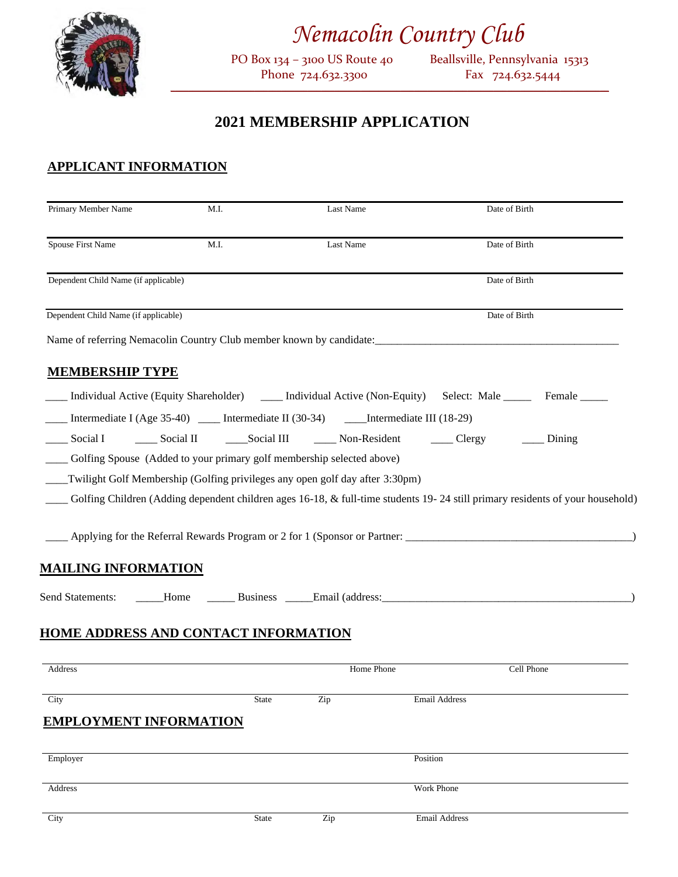

# *Nemacolin Country Club*<br><sup>PO Box 134 - 3100 US Route 40</sub> Beallsville, Pennsyl</sup>

Phone 724.632.3300

Beallsville, Pennsylvania 15313<br>Fax 724.632.5444 *\_\_\_\_\_\_\_\_\_\_\_\_\_\_\_\_\_\_\_\_\_\_\_\_\_\_\_\_\_\_\_\_\_\_\_\_\_\_\_\_\_\_\_\_\_\_\_\_\_\_\_\_\_\_\_\_\_\_\_\_\_\_\_\_\_\_\_\_\_\_\_\_\_\_\_\_\_\_\_\_\_\_\_\_\_\_\_\_\_\_\_\_\_\_\_\_\_\_\_*

# **2021 MEMBERSHIP APPLICATION**

# **APPLICANT INFORMATION**

| Primary Member Name                  | M.I.                                        | Last Name                                                                                                                     | Date of Birth        |             |  |
|--------------------------------------|---------------------------------------------|-------------------------------------------------------------------------------------------------------------------------------|----------------------|-------------|--|
| Spouse First Name                    | M.I.                                        | Last Name                                                                                                                     | Date of Birth        |             |  |
| Dependent Child Name (if applicable) |                                             |                                                                                                                               | Date of Birth        |             |  |
| Dependent Child Name (if applicable) |                                             |                                                                                                                               | Date of Birth        |             |  |
|                                      |                                             | Name of referring Nemacolin Country Club member known by candidate: ________________________________                          |                      |             |  |
| <b>MEMBERSHIP TYPE</b>               |                                             |                                                                                                                               |                      |             |  |
|                                      |                                             | Individual Active (Equity Shareholder) ______ Individual Active (Non-Equity) Select: Male ________ Female _____               |                      |             |  |
|                                      |                                             | Intermediate I (Age 35-40) _____ Intermediate II (30-34) ______ Intermediate III (18-29)                                      |                      |             |  |
|                                      |                                             | Social I 		 ______ Social II 		 _______ Social III 		 _______ Non-Resident 		 ______ Clergy                                   |                      | $\_$ Dining |  |
|                                      |                                             | Golfing Spouse (Added to your primary golf membership selected above)                                                         |                      |             |  |
|                                      |                                             | __Twilight Golf Membership (Golfing privileges any open golf day after 3:30pm)                                                |                      |             |  |
|                                      |                                             | Golfing Children (Adding dependent children ages 16-18, & full-time students 19-24 still primary residents of your household) |                      |             |  |
|                                      |                                             |                                                                                                                               |                      |             |  |
|                                      |                                             |                                                                                                                               |                      |             |  |
| <u>MAILING INFORMATION</u>           |                                             |                                                                                                                               |                      |             |  |
|                                      |                                             |                                                                                                                               |                      |             |  |
|                                      |                                             |                                                                                                                               |                      |             |  |
|                                      | <b>HOME ADDRESS AND CONTACT INFORMATION</b> |                                                                                                                               |                      |             |  |
| Address                              |                                             | Home Phone                                                                                                                    | Cell Phone           |             |  |
| City                                 | State                                       | Zip                                                                                                                           | <b>Email Address</b> |             |  |
| <b>EMPLOYMENT INFORMATION</b>        |                                             |                                                                                                                               |                      |             |  |
| Employer                             |                                             |                                                                                                                               | Position             |             |  |
| Address                              |                                             |                                                                                                                               | Work Phone           |             |  |
|                                      |                                             |                                                                                                                               |                      |             |  |